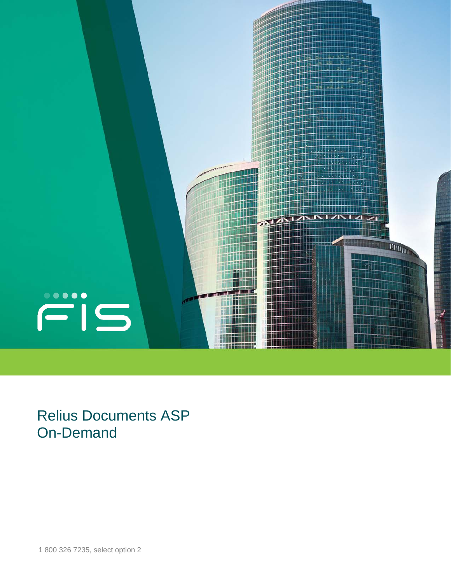

Relius Documents ASP On-Demand

1 800 326 7235, select option 2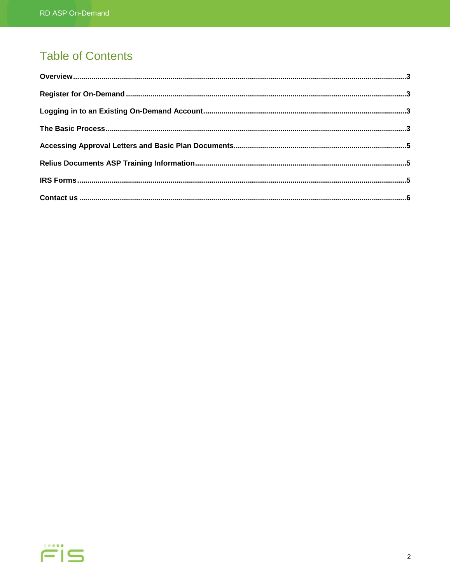# **Table of Contents**

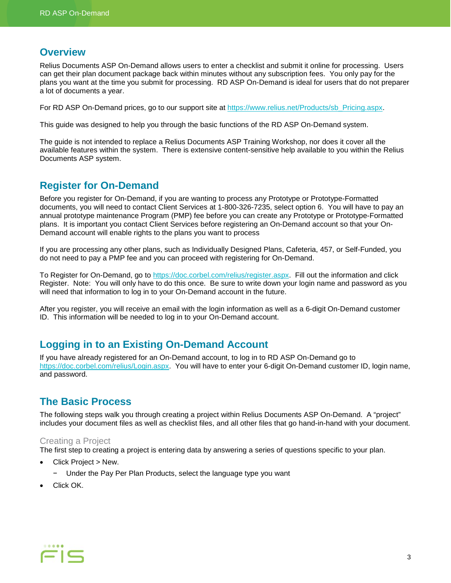### <span id="page-2-0"></span>**Overview**

Relius Documents ASP On-Demand allows users to enter a checklist and submit it online for processing. Users can get their plan document package back within minutes without any subscription fees. You only pay for the plans you want at the time you submit for processing. RD ASP On-Demand is ideal for users that do not preparer a lot of documents a year.

For RD ASP On-Demand prices, go to our support site at [https://www.relius.net/Products/sb\\_Pricing.aspx.](https://www.relius.net/Products/sb_Pricing.aspx)

This guide was designed to help you through the basic functions of the RD ASP On-Demand system.

The guide is not intended to replace a Relius Documents ASP Training Workshop, nor does it cover all the available features within the system. There is extensive content-sensitive help available to you within the Relius Documents ASP system.

# <span id="page-2-1"></span>**Register for On-Demand**

Before you register for On-Demand, if you are wanting to process any Prototype or Prototype-Formatted documents, you will need to contact Client Services at 1-800-326-7235, select option 6. You will have to pay an annual prototype maintenance Program (PMP) fee before you can create any Prototype or Prototype-Formatted plans. It is important you contact Client Services before registering an On-Demand account so that your On-Demand account will enable rights to the plans you want to process

If you are processing any other plans, such as Individually Designed Plans, Cafeteria, 457, or Self-Funded, you do not need to pay a PMP fee and you can proceed with registering for On-Demand.

To Register for On-Demand, go to [https://doc.corbel.com/relius/register.aspx.](https://doc.corbel.com/relius/register.aspx) Fill out the information and click Register. Note: You will only have to do this once. Be sure to write down your login name and password as you will need that information to log in to your On-Demand account in the future.

After you register, you will receive an email with the login information as well as a 6-digit On-Demand customer ID. This information will be needed to log in to your On-Demand account.

# <span id="page-2-2"></span>**Logging in to an Existing On-Demand Account**

If you have already registered for an On-Demand account, to log in to RD ASP On-Demand go to [https://doc.corbel.com/relius/Login.aspx.](https://doc.corbel.com/relius/Login.aspx) You will have to enter your 6-digit On-Demand customer ID, login name, and password.

# <span id="page-2-3"></span>**The Basic Process**

The following steps walk you through creating a project within Relius Documents ASP On-Demand. A "project" includes your document files as well as checklist files, and all other files that go hand-in-hand with your document.

#### Creating a Project

The first step to creating a project is entering data by answering a series of questions specific to your plan.

- Click Project > New.
	- − Under the Pay Per Plan Products, select the language type you want
- Click OK.

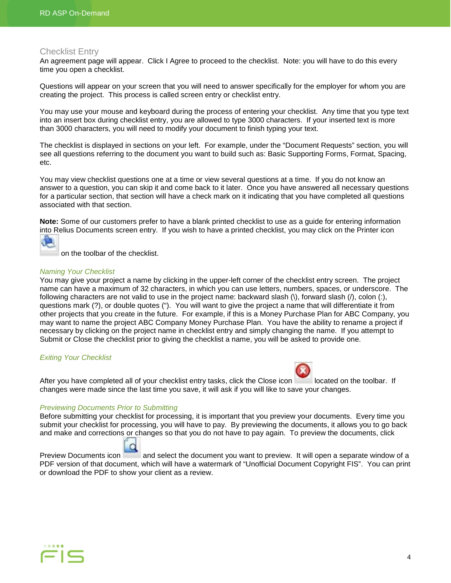#### Checklist Entry

An agreement page will appear. Click I Agree to proceed to the checklist. Note: you will have to do this every time you open a checklist.

Questions will appear on your screen that you will need to answer specifically for the employer for whom you are creating the project. This process is called screen entry or checklist entry.

You may use your mouse and keyboard during the process of entering your checklist. Any time that you type text into an insert box during checklist entry, you are allowed to type 3000 characters. If your inserted text is more than 3000 characters, you will need to modify your document to finish typing your text.

The checklist is displayed in sections on your left. For example, under the "Document Requests" section, you will see all questions referring to the document you want to build such as: Basic Supporting Forms, Format, Spacing, etc.

You may view checklist questions one at a time or view several questions at a time. If you do not know an answer to a question, you can skip it and come back to it later. Once you have answered all necessary questions for a particular section, that section will have a check mark on it indicating that you have completed all questions associated with that section.

**Note:** Some of our customers prefer to have a blank printed checklist to use as a guide for entering information into Relius Documents screen entry. If you wish to have a printed checklist, you may click on the Printer icon

on the toolbar of the checklist.

#### *Naming Your Checklist*

You may give your project a name by clicking in the upper-left corner of the checklist entry screen. The project name can have a maximum of 32 characters, in which you can use letters, numbers, spaces, or underscore. The following characters are not valid to use in the project name: backward slash (\), forward slash (/), colon (:), questions mark (?), or double quotes ("). You will want to give the project a name that will differentiate it from other projects that you create in the future. For example, if this is a Money Purchase Plan for ABC Company, you may want to name the project ABC Company Money Purchase Plan. You have the ability to rename a project if necessary by clicking on the project name in checklist entry and simply changing the name. If you attempt to Submit or Close the checklist prior to giving the checklist a name, you will be asked to provide one.

#### *Exiting Your Checklist*



After you have completed all of your checklist entry tasks, click the Close icon located on the toolbar. If changes were made since the last time you save, it will ask if you will like to save your changes.

#### *Previewing Documents Prior to Submitting*

Before submitting your checklist for processing, it is important that you preview your documents. Every time you submit your checklist for processing, you will have to pay. By previewing the documents, it allows you to go back and make and corrections or changes so that you do not have to pay again. To preview the documents, click

Preview Documents icon and select the document you want to preview. It will open a separate window of a PDF version of that document, which will have a watermark of "Unofficial Document Copyright FIS". You can print or download the PDF to show your client as a review.

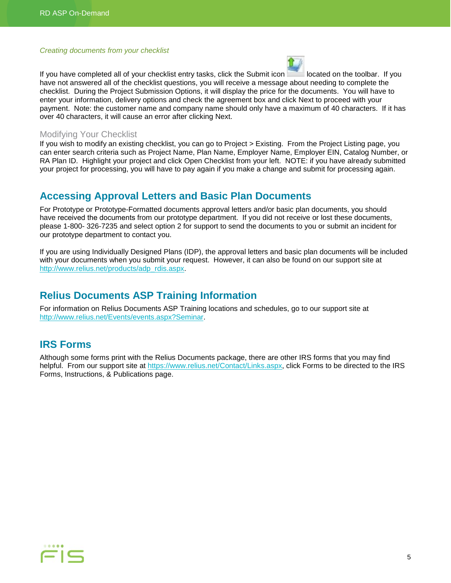#### *Creating documents from your checklist*



If you have completed all of your checklist entry tasks, click the Submit icon located on the toolbar. If you have not answered all of the checklist questions, you will receive a message about needing to complete the checklist. During the Project Submission Options, it will display the price for the documents. You will have to enter your information, delivery options and check the agreement box and click Next to proceed with your payment. Note: the customer name and company name should only have a maximum of 40 characters. If it has over 40 characters, it will cause an error after clicking Next.

#### Modifying Your Checklist

If you wish to modify an existing checklist, you can go to Project > Existing. From the Project Listing page, you can enter search criteria such as Project Name, Plan Name, Employer Name, Employer EIN, Catalog Number, or RA Plan ID. Highlight your project and click Open Checklist from your left. NOTE: if you have already submitted your project for processing, you will have to pay again if you make a change and submit for processing again.

### <span id="page-4-0"></span>**Accessing Approval Letters and Basic Plan Documents**

For Prototype or Prototype-Formatted documents approval letters and/or basic plan documents, you should have received the documents from our prototype department. If you did not receive or lost these documents, please 1-800- 326-7235 and select option 2 for support to send the documents to you or submit an incident for our prototype department to contact you.

If you are using Individually Designed Plans (IDP), the approval letters and basic plan documents will be included with your documents when you submit your request. However, it can also be found on our support site at [http://www.relius.net/products/adp\\_rdis.aspx.](http://www.relius.net/products/adp_rdis.aspx)

### <span id="page-4-1"></span>**Relius Documents ASP Training Information**

For information on Relius Documents ASP Training locations and schedules, go to our support site at [http://www.relius.net/Events/events.aspx?Seminar.](http://www.relius.net/Events/events.aspx?Seminar)

### <span id="page-4-2"></span>**IRS Forms**

Although some forms print with the Relius Documents package, there are other IRS forms that you may find helpful. From our support site at [https://www.relius.net/Contact/Links.aspx,](https://www.relius.net/Contact/Links.aspx) click Forms to be directed to the IRS Forms, Instructions, & Publications page.